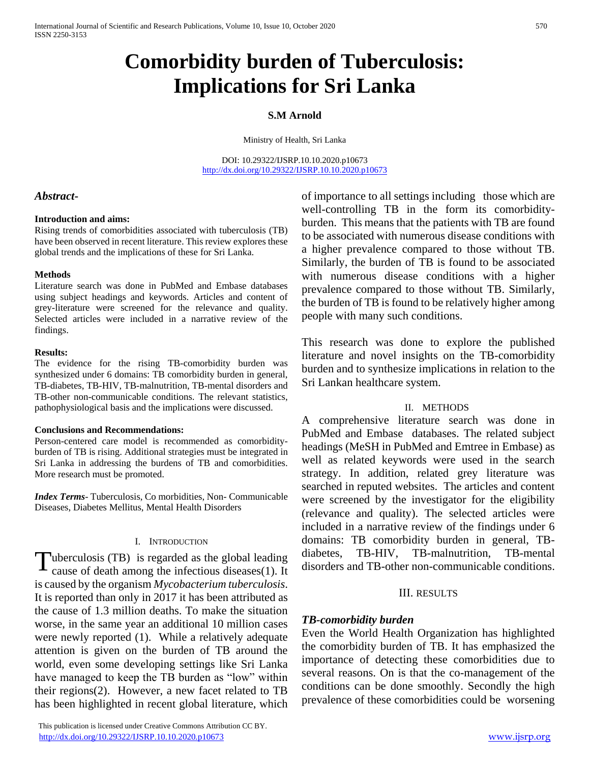# **Comorbidity burden of Tuberculosis: Implications for Sri Lanka**

#### **S.M Arnold**

Ministry of Health, Sri Lanka

DOI: 10.29322/IJSRP.10.10.2020.p10673 <http://dx.doi.org/10.29322/IJSRP.10.10.2020.p10673>

#### *Abstract***-**

#### **Introduction and aims:**

Rising trends of comorbidities associated with tuberculosis (TB) have been observed in recent literature. This review explores these global trends and the implications of these for Sri Lanka.

#### **Methods**

Literature search was done in PubMed and Embase databases using subject headings and keywords. Articles and content of grey-literature were screened for the relevance and quality. Selected articles were included in a narrative review of the findings.

#### **Results:**

The evidence for the rising TB-comorbidity burden was synthesized under 6 domains: TB comorbidity burden in general, TB-diabetes, TB-HIV, TB-malnutrition, TB-mental disorders and TB-other non-communicable conditions. The relevant statistics, pathophysiological basis and the implications were discussed.

#### **Conclusions and Recommendations:**

Person-centered care model is recommended as comorbidityburden of TB is rising. Additional strategies must be integrated in Sri Lanka in addressing the burdens of TB and comorbidities. More research must be promoted.

*Index Terms*- Tuberculosis, Co morbidities, Non- Communicable Diseases, Diabetes Mellitus, Mental Health Disorders

#### I. INTRODUCTION

Tuberculosis (TB) is regarded as the global leading<br>cause of death among the infectious diseases(1). It cause of death among the infectious diseases(1). It is caused by the organism *Mycobacterium tuberculosis*. It is reported than only in 2017 it has been attributed as the cause of 1.3 million deaths. To make the situation worse, in the same year an additional 10 million cases were newly reported (1). While a relatively adequate attention is given on the burden of TB around the world, even some developing settings like Sri Lanka have managed to keep the TB burden as "low" within their regions(2). However, a new facet related to TB has been highlighted in recent global literature, which

 This publication is licensed under Creative Commons Attribution CC BY. <http://dx.doi.org/10.29322/IJSRP.10.10.2020.p10673> [www.ijsrp.org](http://ijsrp.org/)

of importance to all settings including those which are well-controlling TB in the form its comorbidityburden. This means that the patients with TB are found to be associated with numerous disease conditions with a higher prevalence compared to those without TB. Similarly, the burden of TB is found to be associated with numerous disease conditions with a higher prevalence compared to those without TB. Similarly, the burden of TB is found to be relatively higher among people with many such conditions.

This research was done to explore the published literature and novel insights on the TB-comorbidity burden and to synthesize implications in relation to the Sri Lankan healthcare system.

#### II. METHODS

A comprehensive literature search was done in PubMed and Embase databases. The related subject headings (MeSH in PubMed and Emtree in Embase) as well as related keywords were used in the search strategy. In addition, related grey literature was searched in reputed websites. The articles and content were screened by the investigator for the eligibility (relevance and quality). The selected articles were included in a narrative review of the findings under 6 domains: TB comorbidity burden in general, TBdiabetes, TB-HIV, TB-malnutrition, TB-mental disorders and TB-other non-communicable conditions.

#### III. RESULTS

#### *TB-comorbidity burden*

Even the World Health Organization has highlighted the comorbidity burden of TB. It has emphasized the importance of detecting these comorbidities due to several reasons. On is that the co-management of the conditions can be done smoothly. Secondly the high prevalence of these comorbidities could be worsening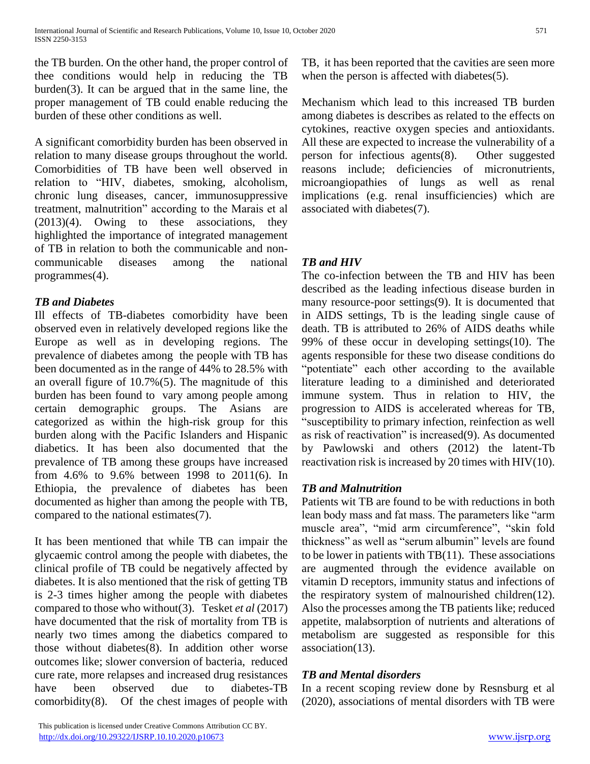the TB burden. On the other hand, the proper control of thee conditions would help in reducing the TB burden(3). It can be argued that in the same line, the proper management of TB could enable reducing the burden of these other conditions as well.

A significant comorbidity burden has been observed in relation to many disease groups throughout the world. Comorbidities of TB have been well observed in relation to "HIV, diabetes, smoking, alcoholism, chronic lung diseases, cancer, immunosuppressive treatment, malnutrition" according to the Marais et al (2013)(4). Owing to these associations, they highlighted the importance of integrated management of TB in relation to both the communicable and noncommunicable diseases among the national programmes(4).

## *TB and Diabetes*

Ill effects of TB-diabetes comorbidity have been observed even in relatively developed regions like the Europe as well as in developing regions. The prevalence of diabetes among the people with TB has been documented as in the range of 44% to 28.5% with an overall figure of 10.7%(5). The magnitude of this burden has been found to vary among people among certain demographic groups. The Asians are categorized as within the high-risk group for this burden along with the Pacific Islanders and Hispanic diabetics. It has been also documented that the prevalence of TB among these groups have increased from 4.6% to 9.6% between 1998 to 2011(6). In Ethiopia, the prevalence of diabetes has been documented as higher than among the people with TB, compared to the national estimates(7).

It has been mentioned that while TB can impair the glycaemic control among the people with diabetes, the clinical profile of TB could be negatively affected by diabetes. It is also mentioned that the risk of getting TB is 2-3 times higher among the people with diabetes compared to those who without(3). Tesket *et al* (2017) have documented that the risk of mortality from TB is nearly two times among the diabetics compared to those without diabetes(8). In addition other worse outcomes like; slower conversion of bacteria, reduced cure rate, more relapses and increased drug resistances have been observed due to diabetes-TB comorbidity(8). Of the chest images of people with

 This publication is licensed under Creative Commons Attribution CC BY. <http://dx.doi.org/10.29322/IJSRP.10.10.2020.p10673> [www.ijsrp.org](http://ijsrp.org/)

TB, it has been reported that the cavities are seen more when the person is affected with diabetes(5).

Mechanism which lead to this increased TB burden among diabetes is describes as related to the effects on cytokines, reactive oxygen species and antioxidants. All these are expected to increase the vulnerability of a person for infectious agents(8). Other suggested reasons include; deficiencies of micronutrients, microangiopathies of lungs as well as renal implications (e.g. renal insufficiencies) which are associated with diabetes(7).

# *TB and HIV*

The co-infection between the TB and HIV has been described as the leading infectious disease burden in many resource-poor settings(9). It is documented that in AIDS settings, Tb is the leading single cause of death. TB is attributed to 26% of AIDS deaths while 99% of these occur in developing settings(10). The agents responsible for these two disease conditions do "potentiate" each other according to the available literature leading to a diminished and deteriorated immune system. Thus in relation to HIV, the progression to AIDS is accelerated whereas for TB, "susceptibility to primary infection, reinfection as well as risk of reactivation" is increased(9). As documented by Pawlowski and others (2012) the latent-Tb reactivation risk is increased by 20 times with HIV(10).

## *TB and Malnutrition*

Patients wit TB are found to be with reductions in both lean body mass and fat mass. The parameters like "arm muscle area", "mid arm circumference", "skin fold thickness" as well as "serum albumin" levels are found to be lower in patients with TB(11). These associations are augmented through the evidence available on vitamin D receptors, immunity status and infections of the respiratory system of malnourished children(12). Also the processes among the TB patients like; reduced appetite, malabsorption of nutrients and alterations of metabolism are suggested as responsible for this association(13).

# *TB and Mental disorders*

In a recent scoping review done by Resnsburg et al (2020), associations of mental disorders with TB were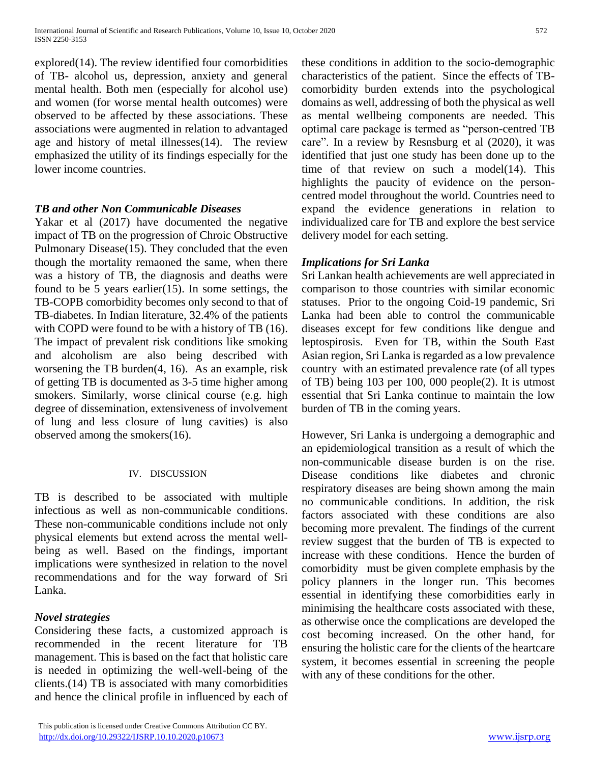explored(14). The review identified four comorbidities of TB- alcohol us, depression, anxiety and general mental health. Both men (especially for alcohol use) and women (for worse mental health outcomes) were observed to be affected by these associations. These associations were augmented in relation to advantaged age and history of metal illnesses(14). The review emphasized the utility of its findings especially for the lower income countries.

## *TB and other Non Communicable Diseases*

Yakar et al (2017) have documented the negative impact of TB on the progression of Chroic Obstructive Pulmonary Disease(15). They concluded that the even though the mortality remaoned the same, when there was a history of TB, the diagnosis and deaths were found to be 5 years earlier(15). In some settings, the TB-COPB comorbidity becomes only second to that of TB-diabetes. In Indian literature, 32.4% of the patients with COPD were found to be with a history of TB (16). The impact of prevalent risk conditions like smoking and alcoholism are also being described with worsening the TB burden(4, 16). As an example, risk of getting TB is documented as 3-5 time higher among smokers. Similarly, worse clinical course (e.g. high degree of dissemination, extensiveness of involvement of lung and less closure of lung cavities) is also observed among the smokers(16).

## IV. DISCUSSION

TB is described to be associated with multiple infectious as well as non-communicable conditions. These non-communicable conditions include not only physical elements but extend across the mental wellbeing as well. Based on the findings, important implications were synthesized in relation to the novel recommendations and for the way forward of Sri Lanka.

# *Novel strategies*

Considering these facts, a customized approach is recommended in the recent literature for TB management. This is based on the fact that holistic care is needed in optimizing the well-well-being of the clients.(14) TB is associated with many comorbidities and hence the clinical profile in influenced by each of these conditions in addition to the socio-demographic characteristics of the patient. Since the effects of TBcomorbidity burden extends into the psychological domains as well, addressing of both the physical as well as mental wellbeing components are needed. This optimal care package is termed as "person-centred TB care". In a review by Resnsburg et al (2020), it was identified that just one study has been done up to the time of that review on such a model(14). This highlights the paucity of evidence on the personcentred model throughout the world. Countries need to expand the evidence generations in relation to individualized care for TB and explore the best service delivery model for each setting.

# *Implications for Sri Lanka*

Sri Lankan health achievements are well appreciated in comparison to those countries with similar economic statuses. Prior to the ongoing Coid-19 pandemic, Sri Lanka had been able to control the communicable diseases except for few conditions like dengue and leptospirosis. Even for TB, within the South East Asian region, Sri Lanka is regarded as a low prevalence country with an estimated prevalence rate (of all types of TB) being 103 per 100, 000 people(2). It is utmost essential that Sri Lanka continue to maintain the low burden of TB in the coming years.

However, Sri Lanka is undergoing a demographic and an epidemiological transition as a result of which the non-communicable disease burden is on the rise. Disease conditions like diabetes and chronic respiratory diseases are being shown among the main no communicable conditions. In addition, the risk factors associated with these conditions are also becoming more prevalent. The findings of the current review suggest that the burden of TB is expected to increase with these conditions. Hence the burden of comorbidity must be given complete emphasis by the policy planners in the longer run. This becomes essential in identifying these comorbidities early in minimising the healthcare costs associated with these, as otherwise once the complications are developed the cost becoming increased. On the other hand, for ensuring the holistic care for the clients of the heartcare system, it becomes essential in screening the people with any of these conditions for the other.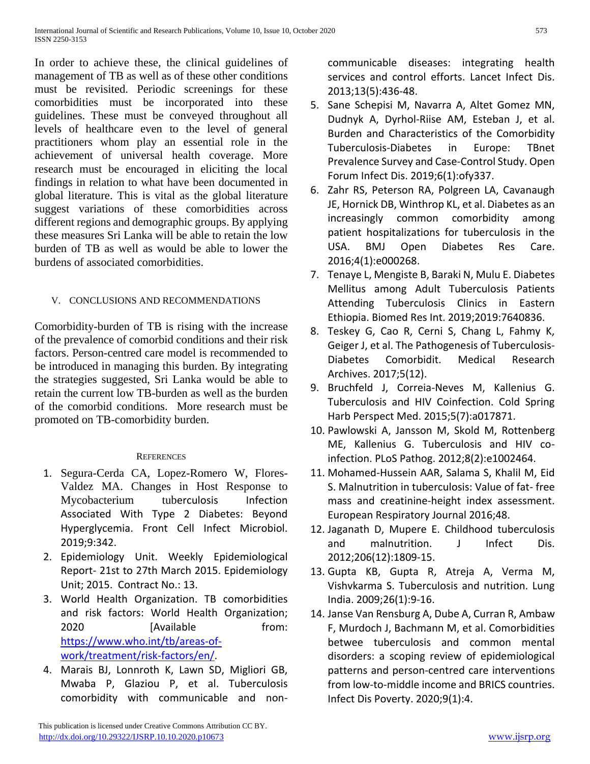In order to achieve these, the clinical guidelines of management of TB as well as of these other conditions must be revisited. Periodic screenings for these comorbidities must be incorporated into these guidelines. These must be conveyed throughout all levels of healthcare even to the level of general practitioners whom play an essential role in the achievement of universal health coverage. More research must be encouraged in eliciting the local findings in relation to what have been documented in global literature. This is vital as the global literature suggest variations of these comorbidities across different regions and demographic groups. By applying these measures Sri Lanka will be able to retain the low burden of TB as well as would be able to lower the burdens of associated comorbidities.

## V. CONCLUSIONS AND RECOMMENDATIONS

Comorbidity-burden of TB is rising with the increase of the prevalence of comorbid conditions and their risk factors. Person-centred care model is recommended to be introduced in managing this burden. By integrating the strategies suggested, Sri Lanka would be able to retain the current low TB-burden as well as the burden of the comorbid conditions. More research must be promoted on TB-comorbidity burden.

## **REFERENCES**

- 1. Segura-Cerda CA, Lopez-Romero W, Flores-Valdez MA. Changes in Host Response to Mycobacterium tuberculosis Infection Associated With Type 2 Diabetes: Beyond Hyperglycemia. Front Cell Infect Microbiol. 2019;9:342.
- 2. Epidemiology Unit. Weekly Epidemiological Report- 21st to 27th March 2015. Epidemiology Unit; 2015. Contract No.: 13.
- 3. World Health Organization. TB comorbidities and risk factors: World Health Organization; 2020 **[Available** from: [https://www.who.int/tb/areas-of](https://www.who.int/tb/areas-of-work/treatment/risk-factors/en/)[work/treatment/risk-factors/en/.](https://www.who.int/tb/areas-of-work/treatment/risk-factors/en/)
- 4. Marais BJ, Lonnroth K, Lawn SD, Migliori GB, Mwaba P, Glaziou P, et al. Tuberculosis comorbidity with communicable and non-

communicable diseases: integrating health services and control efforts. Lancet Infect Dis. 2013;13(5):436-48.

- 5. Sane Schepisi M, Navarra A, Altet Gomez MN, Dudnyk A, Dyrhol-Riise AM, Esteban J, et al. Burden and Characteristics of the Comorbidity Tuberculosis-Diabetes in Europe: TBnet Prevalence Survey and Case-Control Study. Open Forum Infect Dis. 2019;6(1):ofy337.
- 6. Zahr RS, Peterson RA, Polgreen LA, Cavanaugh JE, Hornick DB, Winthrop KL, et al. Diabetes as an increasingly common comorbidity among patient hospitalizations for tuberculosis in the USA. BMJ Open Diabetes Res Care. 2016;4(1):e000268.
- 7. Tenaye L, Mengiste B, Baraki N, Mulu E. Diabetes Mellitus among Adult Tuberculosis Patients Attending Tuberculosis Clinics in Eastern Ethiopia. Biomed Res Int. 2019;2019:7640836.
- 8. Teskey G, Cao R, Cerni S, Chang L, Fahmy K, Geiger J, et al. The Pathogenesis of Tuberculosis-Diabetes Comorbidit. Medical Research Archives. 2017;5(12).
- 9. Bruchfeld J, Correia-Neves M, Kallenius G. Tuberculosis and HIV Coinfection. Cold Spring Harb Perspect Med. 2015;5(7):a017871.
- 10. Pawlowski A, Jansson M, Skold M, Rottenberg ME, Kallenius G. Tuberculosis and HIV coinfection. PLoS Pathog. 2012;8(2):e1002464.
- 11. Mohamed-Hussein AAR, Salama S, Khalil M, Eid S. Malnutrition in tuberculosis: Value of fat- free mass and creatinine-height index assessment. European Respiratory Journal 2016;48.
- 12. Jaganath D, Mupere E. Childhood tuberculosis and malnutrition. J Infect Dis. 2012;206(12):1809-15.
- 13. Gupta KB, Gupta R, Atreja A, Verma M, Vishvkarma S. Tuberculosis and nutrition. Lung India. 2009;26(1):9-16.
- 14. Janse Van Rensburg A, Dube A, Curran R, Ambaw F, Murdoch J, Bachmann M, et al. Comorbidities betwee tuberculosis and common mental disorders: a scoping review of epidemiological patterns and person-centred care interventions from low-to-middle income and BRICS countries. Infect Dis Poverty. 2020;9(1):4.